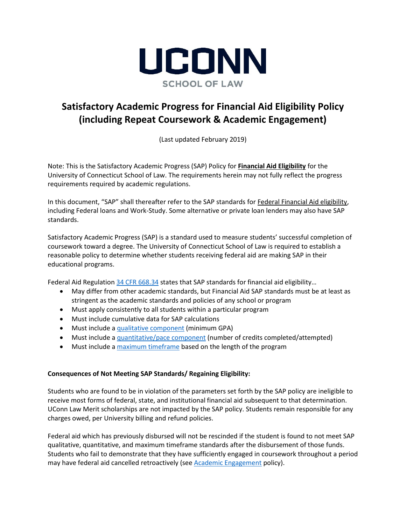

# **Satisfactory Academic Progress for Financial Aid Eligibility Policy (including Repeat Coursework & Academic Engagement)**

(Last updated February 2019)

Note: This is the Satisfactory Academic Progress (SAP) Policy for **Financial Aid Eligibility** for the University of Connecticut School of Law. The requirements herein may not fully reflect the progress requirements required by academic regulations.

In this document, "SAP" shall thereafter refer to the SAP standards for Federal Financial Aid eligibility, including Federal loans and Work-Study. Some alternative or private loan lenders may also have SAP standards.

Satisfactory Academic Progress (SAP) is a standard used to measure students' successful completion of coursework toward a degree. The University of Connecticut School of Law is required to establish a reasonable policy to determine whether students receiving federal aid are making SAP in their educational programs.

Federal Aid Regulatio[n 34 CFR 668.34](https://www.ecfr.gov/cgi-bin/text-idx?c=ecfr&SID=9b0be01839ad274bc33fe014604ea2de&rgn=div8&view=text&node=34:3.1.3.1.34.3.39.4&idno=34) states that SAP standards for financial aid eligibility…

- May differ from other academic standards, but Financial Aid SAP standards must be at least as stringent as the academic standards and policies of any school or program
- Must apply consistently to all students within a particular program
- Must include cumulative data for SAP calculations
- Must include [a qualitative component](#page-2-0) (minimum GPA)
- Must include [a quantitative/pace component](#page-2-1) (number of credits completed/attempted)
- Must include [a maximum timeframe](#page-3-0) based on the length of the program

## **Consequences of Not Meeting SAP Standards/ Regaining Eligibility:**

Students who are found to be in violation of the parameters set forth by the SAP policy are ineligible to receive most forms of federal, state, and institutional financial aid subsequent to that determination. UConn Law Merit scholarships are not impacted by the SAP policy. Students remain responsible for any charges owed, per University billing and refund policies.

Federal aid which has previously disbursed will not be rescinded if the student is found to not meet SAP qualitative, quantitative, and maximum timeframe standards after the disbursement of those funds. Students who fail to demonstrate that they have sufficiently engaged in coursework throughout a period may have federal aid cancelled retroactively (se[e Academic Engagement](#page-5-0) policy).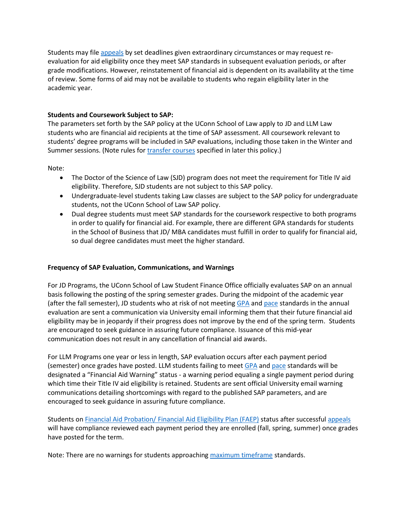Students may file [appeals](#page-3-1) by set deadlines given extraordinary circumstances or may request reevaluation for aid eligibility once they meet SAP standards in subsequent evaluation periods, or after grade modifications. However, reinstatement of financial aid is dependent on its availability at the time of review. Some forms of aid may not be available to students who regain eligibility later in the academic year.

# **Students and Coursework Subject to SAP:**

The parameters set forth by the SAP policy at the UConn School of Law apply to JD and LLM Law students who are financial aid recipients at the time of SAP assessment. All coursework relevant to students' degree programs will be included in SAP evaluations, including those taken in the Winter and Summer sessions. (Note rules for [transfer courses](#page-2-2) specified in later this policy.)

Note:

- The Doctor of the Science of Law (SJD) program does not meet the requirement for Title IV aid eligibility. Therefore, SJD students are not subject to this SAP policy.
- Undergraduate-level students taking Law classes are subject to the SAP policy for undergraduate students, not the UConn School of Law SAP policy.
- Dual degree students must meet SAP standards for the coursework respective to both programs in order to qualify for financial aid. For example, there are different GPA standards for students in the School of Business that JD/ MBA candidates must fulfill in order to qualify for financial aid, so dual degree candidates must meet the higher standard.

## **Frequency of SAP Evaluation, Communications, and Warnings**

For JD Programs, the UConn School of Law Student Finance Office officially evaluates SAP on an annual basis following the posting of the spring semester grades. During the midpoint of the academic year (after the fall semester), JD students who at risk of not meeting [GPA](#page-2-0) and [pace](#page-2-1) standards in the annual evaluation are sent a communication via University email informing them that their future financial aid eligibility may be in jeopardy if their progress does not improve by the end of the spring term. Students are encouraged to seek guidance in assuring future compliance. Issuance of this mid-year communication does not result in any cancellation of financial aid awards.

For LLM Programs one year or less in length, SAP evaluation occurs after each payment period (semester) once grades have posted. LLM students failing to meet [GPA](#page-2-0) and [pace](#page-2-1) standards will be designated a "Financial Aid Warning" status - a warning period equaling a single payment period during which time their Title IV aid eligibility is retained. Students are sent official University email warning communications detailing shortcomings with regard to the published SAP parameters, and are encouraged to seek guidance in assuring future compliance.

Students on [Financial Aid Probation/ Financial Aid Eligibility Plan](#page-4-0) (FAEP) status after successfu[l appeals](#page-3-1) will have compliance reviewed each payment period they are enrolled (fall, spring, summer) once grades have posted for the term.

Note: There are no warnings for students approaching [maximum timeframe](#page-3-0) standards.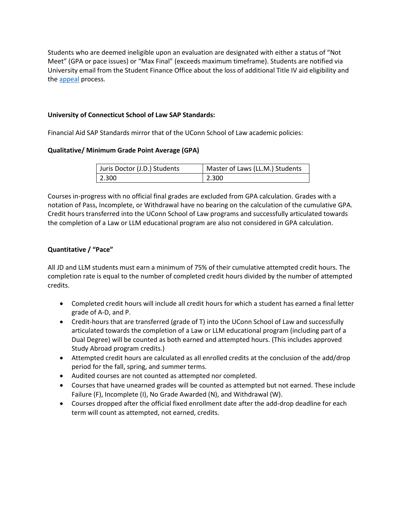Students who are deemed ineligible upon an evaluation are designated with either a status of "Not Meet" (GPA or pace issues) or "Max Final" (exceeds maximum timeframe). Students are notified via University email from the Student Finance Office about the loss of additional Title IV aid eligibility and th[e appeal](#page-3-1) process.

# **University of Connecticut School of Law SAP Standards:**

Financial Aid SAP Standards mirror that of the UConn School of Law academic policies:

# <span id="page-2-0"></span>**Qualitative/ Minimum Grade Point Average (GPA)**

| Uuris Doctor (J.D.) Students | Master of Laws (LL.M.) Students |
|------------------------------|---------------------------------|
| 2.300                        | 2.300                           |

Courses in-progress with no official final grades are excluded from GPA calculation. Grades with a notation of Pass, Incomplete, or Withdrawal have no bearing on the calculation of the cumulative GPA. Credit hours transferred into the UConn School of Law programs and successfully articulated towards the completion of a Law or LLM educational program are also not considered in GPA calculation.

# <span id="page-2-1"></span>**Quantitative / "Pace"**

All JD and LLM students must earn a minimum of 75% of their cumulative attempted credit hours. The completion rate is equal to the number of completed credit hours divided by the number of attempted credits.

- Completed credit hours will include all credit hours for which a student has earned a final letter grade of A-D, and P.
- <span id="page-2-2"></span> Credit-hours that are transferred (grade of T) into the UConn School of Law and successfully articulated towards the completion of a Law or LLM educational program (including part of a Dual Degree) will be counted as both earned and attempted hours. (This includes approved Study Abroad program credits.)
- Attempted credit hours are calculated as all enrolled credits at the conclusion of the add/drop period for the fall, spring, and summer terms.
- Audited courses are not counted as attempted nor completed.
- Courses that have unearned grades will be counted as attempted but not earned. These include Failure (F), Incomplete (I), No Grade Awarded (N), and Withdrawal (W).
- Courses dropped after the official fixed enrollment date after the add-drop deadline for each term will count as attempted, not earned, credits.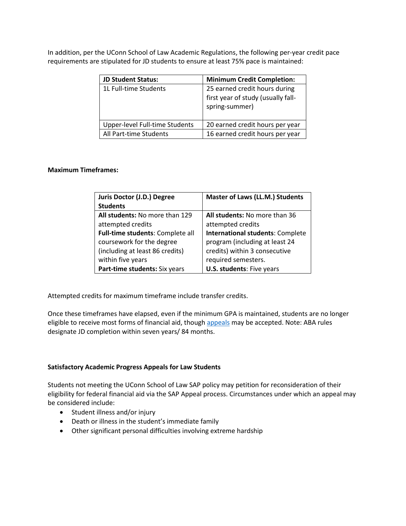In addition, per the UConn School of Law Academic Regulations, the following per-year credit pace requirements are stipulated for JD students to ensure at least 75% pace is maintained:

| <b>JD Student Status:</b>      | <b>Minimum Credit Completion:</b>                                                     |
|--------------------------------|---------------------------------------------------------------------------------------|
| 1L Full-time Students          | 25 earned credit hours during<br>first year of study (usually fall-<br>spring-summer) |
| Upper-level Full-time Students | 20 earned credit hours per year                                                       |
| All Part-time Students         | 16 earned credit hours per year                                                       |

## <span id="page-3-0"></span>**Maximum Timeframes:**

| Juris Doctor (J.D.) Degree       | <b>Master of Laws (LL.M.) Students</b>  |
|----------------------------------|-----------------------------------------|
| <b>Students</b>                  |                                         |
| All students: No more than 129   | All students: No more than 36           |
| attempted credits                | attempted credits                       |
| Full-time students: Complete all | <b>International students: Complete</b> |
| coursework for the degree        | program (including at least 24          |
| (including at least 86 credits)  | credits) within 3 consecutive           |
| within five years                | required semesters.                     |
| Part-time students: Six years    | <b>U.S. students: Five years</b>        |

Attempted credits for maximum timeframe include transfer credits.

Once these timeframes have elapsed, even if the minimum GPA is maintained, students are no longer eligible to receive most forms of financial aid, though [appeals](#page-3-1) may be accepted. Note: ABA rules designate JD completion within seven years/ 84 months.

#### <span id="page-3-1"></span>**Satisfactory Academic Progress Appeals for Law Students**

Students not meeting the UConn School of Law SAP policy may petition for reconsideration of their eligibility for federal financial aid via the SAP Appeal process. Circumstances under which an appeal may be considered include:

- Student illness and/or injury
- Death or illness in the student's immediate family
- Other significant personal difficulties involving extreme hardship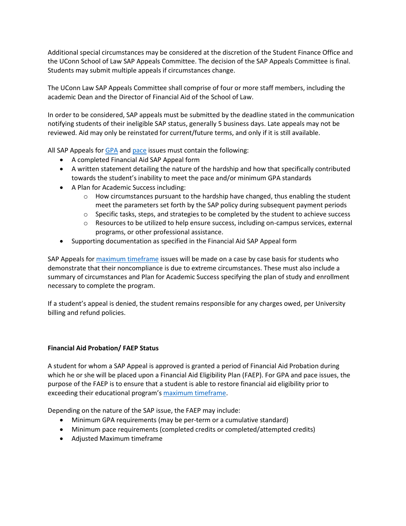Additional special circumstances may be considered at the discretion of the Student Finance Office and the UConn School of Law SAP Appeals Committee. The decision of the SAP Appeals Committee is final. Students may submit multiple appeals if circumstances change.

The UConn Law SAP Appeals Committee shall comprise of four or more staff members, including the academic Dean and the Director of Financial Aid of the School of Law.

In order to be considered, SAP appeals must be submitted by the deadline stated in the communication notifying students of their ineligible SAP status, generally 5 business days. Late appeals may not be reviewed. Aid may only be reinstated for current/future terms, and only if it is still available.

All SAP Appeals for [GPA](#page-2-0) an[d pace](#page-2-1) issues must contain the following:

- A completed Financial Aid SAP Appeal form
- A written statement detailing the nature of the hardship and how that specifically contributed towards the student's inability to meet the pace and/or minimum GPA standards
- A Plan for Academic Success including:
	- $\circ$  How circumstances pursuant to the hardship have changed, thus enabling the student meet the parameters set forth by the SAP policy during subsequent payment periods
	- $\circ$  Specific tasks, steps, and strategies to be completed by the student to achieve success
	- o Resources to be utilized to help ensure success, including on-campus services, external programs, or other professional assistance.
- Supporting documentation as specified in the Financial Aid SAP Appeal form

SAP Appeals for [maximum timeframe](#page-3-0) issues will be made on a case by case basis for students who demonstrate that their noncompliance is due to extreme circumstances. These must also include a summary of circumstances and Plan for Academic Success specifying the plan of study and enrollment necessary to complete the program.

If a student's appeal is denied, the student remains responsible for any charges owed, per University billing and refund policies.

## <span id="page-4-0"></span>**Financial Aid Probation/ FAEP Status**

A student for whom a SAP Appeal is approved is granted a period of Financial Aid Probation during which he or she will be placed upon a Financial Aid Eligibility Plan (FAEP). For GPA and pace issues, the purpose of the FAEP is to ensure that a student is able to restore financial aid eligibility prior to exceeding their educational program's [maximum timeframe.](#page-3-0)

Depending on the nature of the SAP issue, the FAEP may include:

- Minimum GPA requirements (may be per-term or a cumulative standard)
- Minimum pace requirements (completed credits or completed/attempted credits)
- Adjusted Maximum timeframe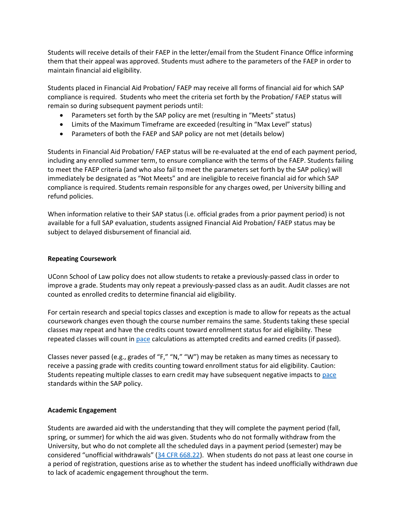Students will receive details of their FAEP in the letter/email from the Student Finance Office informing them that their appeal was approved. Students must adhere to the parameters of the FAEP in order to maintain financial aid eligibility.

Students placed in Financial Aid Probation/ FAEP may receive all forms of financial aid for which SAP compliance is required. Students who meet the criteria set forth by the Probation/ FAEP status will remain so during subsequent payment periods until:

- Parameters set forth by the SAP policy are met (resulting in "Meets" status)
- Limits of the Maximum Timeframe are exceeded (resulting in "Max Level" status)
- Parameters of both the FAEP and SAP policy are not met (details below)

Students in Financial Aid Probation/ FAEP status will be re-evaluated at the end of each payment period, including any enrolled summer term, to ensure compliance with the terms of the FAEP. Students failing to meet the FAEP criteria (and who also fail to meet the parameters set forth by the SAP policy) will immediately be designated as "Not Meets" and are ineligible to receive financial aid for which SAP compliance is required. Students remain responsible for any charges owed, per University billing and refund policies.

When information relative to their SAP status (i.e. official grades from a prior payment period) is not available for a full SAP evaluation, students assigned Financial Aid Probation/ FAEP status may be subject to delayed disbursement of financial aid.

#### **Repeating Coursework**

UConn School of Law policy does not allow students to retake a previously-passed class in order to improve a grade. Students may only repeat a previously-passed class as an audit. Audit classes are not counted as enrolled credits to determine financial aid eligibility.

For certain research and special topics classes and exception is made to allow for repeats as the actual coursework changes even though the course number remains the same. Students taking these special classes may repeat and have the credits count toward enrollment status for aid eligibility. These repeated classes will count in [pace](#page-2-1) calculations as attempted credits and earned credits (if passed).

Classes never passed (e.g., grades of "F," "N," "W") may be retaken as many times as necessary to receive a passing grade with credits counting toward enrollment status for aid eligibility. Caution: Students repeating multiple classes to earn credit may have subsequent negative impacts to [pace](#page-2-1) standards within the SAP policy.

## <span id="page-5-0"></span>**Academic Engagement**

Students are awarded aid with the understanding that they will complete the payment period (fall, spring, or summer) for which the aid was given. Students who do not formally withdraw from the University, but who do not complete all the scheduled days in a payment period (semester) may be considered "unofficial withdrawals" ([34 CFR 668.22\)](https://www.ecfr.gov/cgi-bin/text-idx?rgn=div8&node=34:3.1.3.1.34.2.39.12). When students do not pass at least one course in a period of registration, questions arise as to whether the student has indeed unofficially withdrawn due to lack of academic engagement throughout the term.